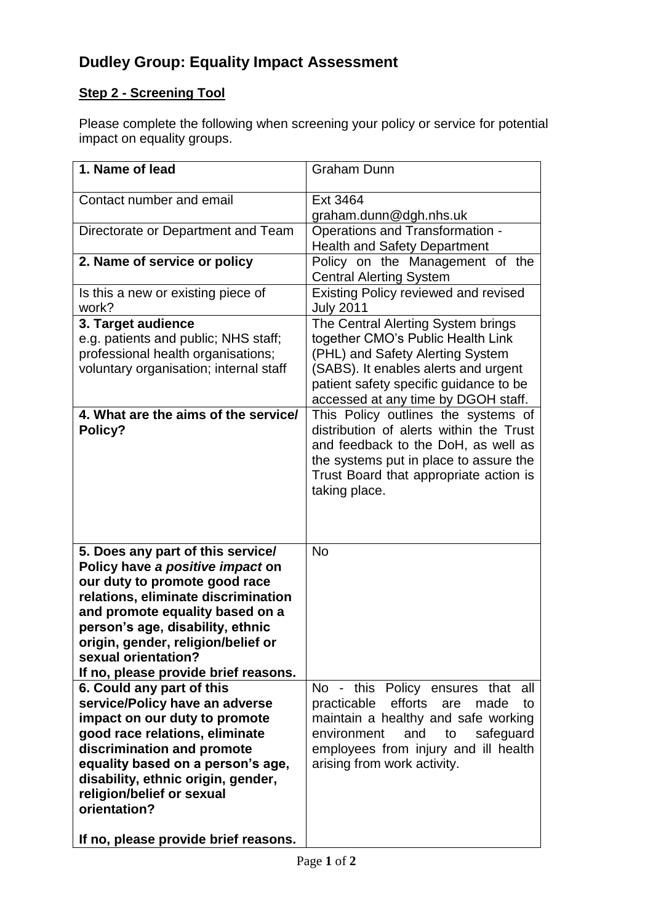# **Dudley Group: Equality Impact Assessment**

## **Step 2 - Screening Tool**

Please complete the following when screening your policy or service for potential impact on equality groups.

| 1. Name of lead                                                                                                                                                                                                                                                                                                           | <b>Graham Dunn</b>                                                                                                                                                                                                                                                          |
|---------------------------------------------------------------------------------------------------------------------------------------------------------------------------------------------------------------------------------------------------------------------------------------------------------------------------|-----------------------------------------------------------------------------------------------------------------------------------------------------------------------------------------------------------------------------------------------------------------------------|
| Contact number and email                                                                                                                                                                                                                                                                                                  | Ext 3464                                                                                                                                                                                                                                                                    |
|                                                                                                                                                                                                                                                                                                                           | graham.dunn@dgh.nhs.uk                                                                                                                                                                                                                                                      |
| Directorate or Department and Team                                                                                                                                                                                                                                                                                        | <b>Operations and Transformation -</b>                                                                                                                                                                                                                                      |
|                                                                                                                                                                                                                                                                                                                           | <b>Health and Safety Department</b>                                                                                                                                                                                                                                         |
| 2. Name of service or policy                                                                                                                                                                                                                                                                                              | Policy on the Management of the<br><b>Central Alerting System</b>                                                                                                                                                                                                           |
| Is this a new or existing piece of<br>work?                                                                                                                                                                                                                                                                               | Existing Policy reviewed and revised<br><b>July 2011</b>                                                                                                                                                                                                                    |
| 3. Target audience<br>e.g. patients and public; NHS staff;<br>professional health organisations;<br>voluntary organisation; internal staff<br>4. What are the aims of the service/                                                                                                                                        | The Central Alerting System brings<br>together CMO's Public Health Link<br>(PHL) and Safety Alerting System<br>(SABS). It enables alerts and urgent<br>patient safety specific guidance to be<br>accessed at any time by DGOH staff.<br>This Policy outlines the systems of |
| Policy?                                                                                                                                                                                                                                                                                                                   | distribution of alerts within the Trust<br>and feedback to the DoH, as well as<br>the systems put in place to assure the<br>Trust Board that appropriate action is<br>taking place.                                                                                         |
| 5. Does any part of this service/<br>Policy have a positive impact on<br>our duty to promote good race<br>relations, eliminate discrimination<br>and promote equality based on a<br>person's age, disability, ethnic<br>origin, gender, religion/belief or<br>sexual orientation?<br>If no, please provide brief reasons. | <b>No</b>                                                                                                                                                                                                                                                                   |
| 6. Could any part of this<br>service/Policy have an adverse<br>impact on our duty to promote<br>good race relations, eliminate<br>discrimination and promote<br>equality based on a person's age,<br>disability, ethnic origin, gender,<br>religion/belief or sexual<br>orientation?                                      | No - this Policy ensures that<br>all<br>efforts<br>practicable<br>made<br>are<br>to<br>maintain a healthy and safe working<br>environment<br>and<br>safeguard<br>to<br>employees from injury and ill health<br>arising from work activity.                                  |
| If no, please provide brief reasons.                                                                                                                                                                                                                                                                                      |                                                                                                                                                                                                                                                                             |